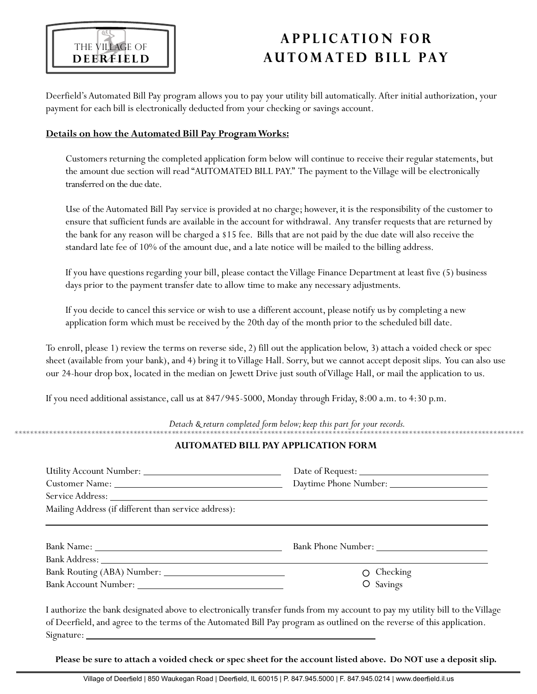

# **A P P L I C AT I O N F o r A u t o m at e d B i l l Pay**

Deerfield's Automated Bill Pay program allows you to pay your utility bill automatically. After initial authorization, your payment for each bill is electronically deducted from your checking or savings account.

#### **Details on how the Automated Bill Pay ProgramWorks:**

Customers returning the completed application form below will continue to receive their regular statements, but the amount due section will read "AUTOMATED BILL PAY." The payment to the Village will be electronically transferred on the due date.

Use of theAutomated Bill Pay service is provided at no charge; however, it is the responsibility of the customer to ensure that sufficient funds are available in the account for withdrawal. Any transfer requests that are returned by the bank for any reason will be charged a \$15 fee. Bills that are not paid by the due date will also receive the standard late fee of 10% of the amount due, and a late notice will be mailed to the billing address.

If you have questions regarding your bill, please contact theVillage Finance Department at least five (5) business days prior to the payment transfer date to allow time to make any necessary adjustments.

If you decide to cancel this service or wish to use a different account, please notify us by completing a new application form which must be received by the 20th day of the month prior to the scheduled bill date.

To enroll, please 1) review the terms on reverse side, 2) fill out the application below, 3) attach a voided check or spec sheet (available from your bank), and 4) bring it to Village Hall. Sorry, but we cannot accept deposit slips. You can also use our 24-hour drop box, located in the median on Jewett Drive just south ofVillage Hall, or mail the application to us.

If you need additional assistance, call us at 847/945-5000, Monday through Friday, 8:00 a.m. to 4:30 p.m.

*Detach & return completed form below;keep this part for your records.*

## **AUTOMATED BILL PAYAPPLICATION FORM**

| Mailing Address (if different than service address): |                               |
|------------------------------------------------------|-------------------------------|
|                                                      |                               |
|                                                      | $\circ$ Checking<br>O Savings |

I authorize the bank designated above to electronically transfer funds from my account to pay my utility bill to theVillage of Deerfield,and agree to the terms of the Automated Bill Pay program as outlined on the reverse of this application. Signature:

Please be sure to attach a voided check or spec sheet for the account listed above. Do NOT use a deposit slip.